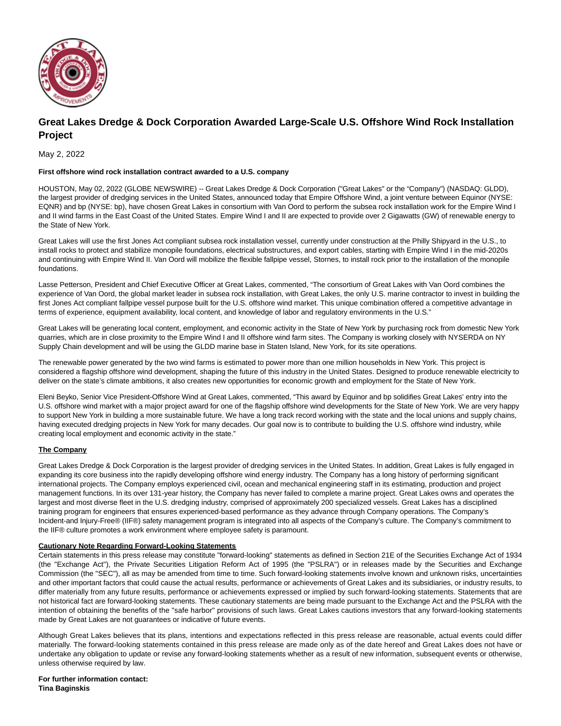

## **Great Lakes Dredge & Dock Corporation Awarded Large-Scale U.S. Offshore Wind Rock Installation Project**

May 2, 2022

## **First offshore wind rock installation contract awarded to a U.S. company**

HOUSTON, May 02, 2022 (GLOBE NEWSWIRE) -- Great Lakes Dredge & Dock Corporation ("Great Lakes" or the "Company") (NASDAQ: GLDD), the largest provider of dredging services in the United States, announced today that Empire Offshore Wind, a joint venture between Equinor (NYSE: EQNR) and bp (NYSE: bp), have chosen Great Lakes in consortium with Van Oord to perform the subsea rock installation work for the Empire Wind I and II wind farms in the East Coast of the United States. Empire Wind I and II are expected to provide over 2 Gigawatts (GW) of renewable energy to the State of New York.

Great Lakes will use the first Jones Act compliant subsea rock installation vessel, currently under construction at the Philly Shipyard in the U.S., to install rocks to protect and stabilize monopile foundations, electrical substructures, and export cables, starting with Empire Wind I in the mid-2020s and continuing with Empire Wind II. Van Oord will mobilize the flexible fallpipe vessel, Stornes, to install rock prior to the installation of the monopile foundations.

Lasse Petterson, President and Chief Executive Officer at Great Lakes, commented, "The consortium of Great Lakes with Van Oord combines the experience of Van Oord, the global market leader in subsea rock installation, with Great Lakes, the only U.S. marine contractor to invest in building the first Jones Act compliant fallpipe vessel purpose built for the U.S. offshore wind market. This unique combination offered a competitive advantage in terms of experience, equipment availability, local content, and knowledge of labor and regulatory environments in the U.S."

Great Lakes will be generating local content, employment, and economic activity in the State of New York by purchasing rock from domestic New York quarries, which are in close proximity to the Empire Wind I and II offshore wind farm sites. The Company is working closely with NYSERDA on NY Supply Chain development and will be using the GLDD marine base in Staten Island, New York, for its site operations.

The renewable power generated by the two wind farms is estimated to power more than one million households in New York. This project is considered a flagship offshore wind development, shaping the future of this industry in the United States. Designed to produce renewable electricity to deliver on the state's climate ambitions, it also creates new opportunities for economic growth and employment for the State of New York.

Eleni Beyko, Senior Vice President-Offshore Wind at Great Lakes, commented, "This award by Equinor and bp solidifies Great Lakes' entry into the U.S. offshore wind market with a major project award for one of the flagship offshore wind developments for the State of New York. We are very happy to support New York in building a more sustainable future. We have a long track record working with the state and the local unions and supply chains, having executed dredging projects in New York for many decades. Our goal now is to contribute to building the U.S. offshore wind industry, while creating local employment and economic activity in the state."

## **The Company**

Great Lakes Dredge & Dock Corporation is the largest provider of dredging services in the United States. In addition, Great Lakes is fully engaged in expanding its core business into the rapidly developing offshore wind energy industry. The Company has a long history of performing significant international projects. The Company employs experienced civil, ocean and mechanical engineering staff in its estimating, production and project management functions. In its over 131-year history, the Company has never failed to complete a marine project. Great Lakes owns and operates the largest and most diverse fleet in the U.S. dredging industry, comprised of approximately 200 specialized vessels. Great Lakes has a disciplined training program for engineers that ensures experienced-based performance as they advance through Company operations. The Company's Incident-and Injury-Free® (IIF®) safety management program is integrated into all aspects of the Company's culture. The Company's commitment to the IIF® culture promotes a work environment where employee safety is paramount.

## **Cautionary Note Regarding Forward-Looking Statements**

Certain statements in this press release may constitute "forward-looking" statements as defined in Section 21E of the Securities Exchange Act of 1934 (the "Exchange Act"), the Private Securities Litigation Reform Act of 1995 (the "PSLRA") or in releases made by the Securities and Exchange Commission (the "SEC"), all as may be amended from time to time. Such forward-looking statements involve known and unknown risks, uncertainties and other important factors that could cause the actual results, performance or achievements of Great Lakes and its subsidiaries, or industry results, to differ materially from any future results, performance or achievements expressed or implied by such forward-looking statements. Statements that are not historical fact are forward-looking statements. These cautionary statements are being made pursuant to the Exchange Act and the PSLRA with the intention of obtaining the benefits of the "safe harbor" provisions of such laws. Great Lakes cautions investors that any forward-looking statements made by Great Lakes are not guarantees or indicative of future events.

Although Great Lakes believes that its plans, intentions and expectations reflected in this press release are reasonable, actual events could differ materially. The forward-looking statements contained in this press release are made only as of the date hereof and Great Lakes does not have or undertake any obligation to update or revise any forward-looking statements whether as a result of new information, subsequent events or otherwise, unless otherwise required by law.

**For further information contact: Tina Baginskis**